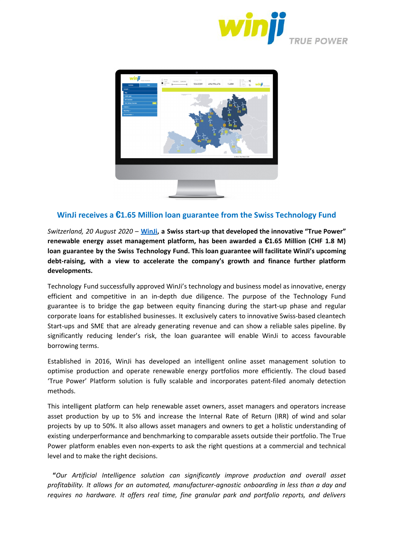



## **WinJi receives a** €**1.65 Million loan guarantee from the Swiss Technology Fund**

*Switzerland, 20 August 2020* – **[WinJi](https://www.win-ji.com/), a Swiss start-up that developed the innovative "True Power" renewable energy asset management platform, has been awarded a** €**1.65 Million (CHF 1.8 M) loan guarantee by the Swiss Technology Fund. This loan guarantee will facilitate WinJi's upcoming debt-raising, with a view to accelerate the company's growth and finance further platform developments.**

Technology Fund successfully approved WinJi's technology and business model as innovative, energy efficient and competitive in an in-depth due diligence. The purpose of the Technology Fund guarantee is to bridge the gap between equity financing during the start-up phase and regular corporate loans for established businesses. It exclusively caters to innovative Swiss-based cleantech Start-ups and SME that are already generating revenue and can show a reliable sales pipeline. By significantly reducing lender's risk, the loan guarantee will enable WinJi to access favourable borrowing terms.

Established in 2016, WinJi has developed an intelligent online asset management solution to optimise production and operate renewable energy portfolios more efficiently. The cloud based 'True Power' Platform solution is fully scalable and incorporates patent-filed anomaly detection methods.

This intelligent platform can help renewable asset owners, asset managers and operators increase asset production by up to 5% and increase the Internal Rate of Return (IRR) of wind and solar projects by up to 50%. It also allows asset managers and owners to get a holistic understanding of existing underperformance and benchmarking to comparable assets outside their portfolio. The True Power platform enables even non-experts to ask the right questions at a commercial and technical level and to make the right decisions.

**"***Our Artificial Intelligence solution can significantly improve production and overall asset profitability. It allows for an automated, manufacturer-agnostic onboarding in less than a day and requires no hardware. It offers real time, fine granular park and portfolio reports, and delivers*